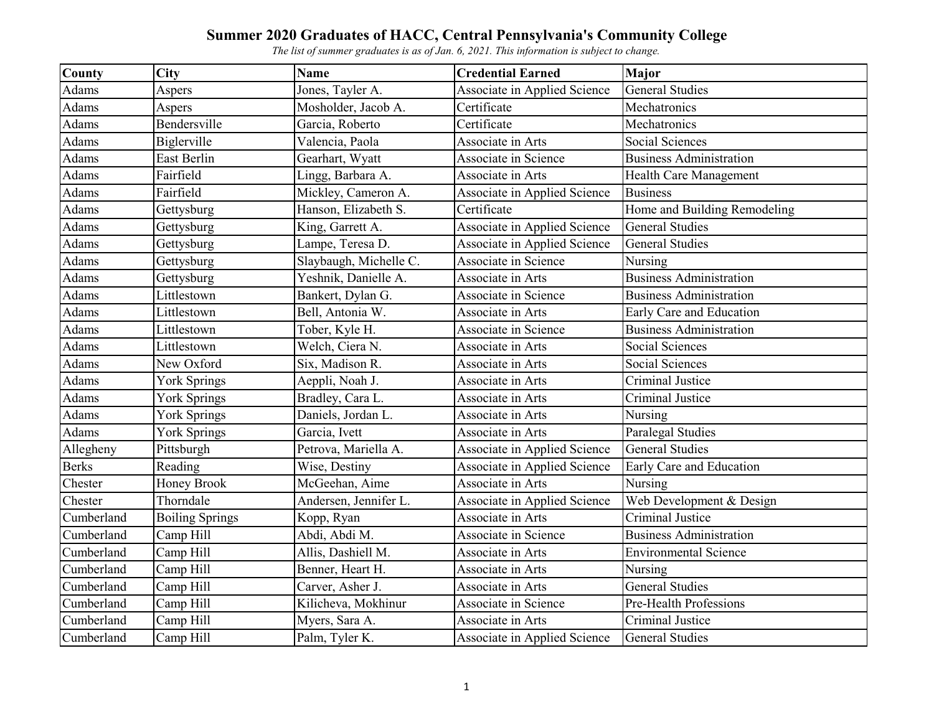| <b>County</b> | <b>City</b>            | <b>Name</b>            | <b>Credential Earned</b>            | Major                           |
|---------------|------------------------|------------------------|-------------------------------------|---------------------------------|
| Adams         | Aspers                 | Jones, Tayler A.       | Associate in Applied Science        | <b>General Studies</b>          |
| Adams         | Aspers                 | Mosholder, Jacob A.    | Certificate                         | Mechatronics                    |
| Adams         | Bendersville           | Garcia, Roberto        | Certificate                         | Mechatronics                    |
| Adams         | Biglerville            | Valencia, Paola        | Associate in Arts                   | Social Sciences                 |
| Adams         | East Berlin            | Gearhart, Wyatt        | Associate in Science                | <b>Business Administration</b>  |
| Adams         | Fairfield              | Lingg, Barbara A.      | Associate in Arts                   | Health Care Management          |
| Adams         | Fairfield              | Mickley, Cameron A.    | Associate in Applied Science        | <b>Business</b>                 |
| Adams         | Gettysburg             | Hanson, Elizabeth S.   | Certificate                         | Home and Building Remodeling    |
| Adams         | Gettysburg             | King, Garrett A.       | Associate in Applied Science        | <b>General Studies</b>          |
| Adams         | Gettysburg             | Lampe, Teresa D.       | <b>Associate in Applied Science</b> | <b>General Studies</b>          |
| Adams         | Gettysburg             | Slaybaugh, Michelle C. | Associate in Science                | Nursing                         |
| Adams         | Gettysburg             | Yeshnik, Danielle A.   | Associate in Arts                   | <b>Business Administration</b>  |
| Adams         | Littlestown            | Bankert, Dylan G.      | Associate in Science                | <b>Business Administration</b>  |
| Adams         | Littlestown            | Bell, Antonia W.       | Associate in Arts                   | <b>Early Care and Education</b> |
| Adams         | Littlestown            | Tober, Kyle H.         | Associate in Science                | <b>Business Administration</b>  |
| Adams         | Littlestown            | Welch, Ciera N.        | Associate in Arts                   | Social Sciences                 |
| Adams         | New Oxford             | Six, Madison R.        | Associate in Arts                   | <b>Social Sciences</b>          |
| Adams         | <b>York Springs</b>    | Aeppli, Noah J.        | Associate in Arts                   | Criminal Justice                |
| Adams         | <b>York Springs</b>    | Bradley, Cara L.       | Associate in Arts                   | Criminal Justice                |
| Adams         | <b>York Springs</b>    | Daniels, Jordan L.     | Associate in Arts                   | Nursing                         |
| Adams         | York Springs           | Garcia, Ivett          | Associate in Arts                   | <b>Paralegal Studies</b>        |
| Allegheny     | Pittsburgh             | Petrova, Mariella A.   | Associate in Applied Science        | <b>General Studies</b>          |
| <b>Berks</b>  | Reading                | Wise, Destiny          | Associate in Applied Science        | Early Care and Education        |
| Chester       | Honey Brook            | McGeehan, Aime         | Associate in Arts                   | Nursing                         |
| Chester       | Thorndale              | Andersen, Jennifer L.  | Associate in Applied Science        | Web Development & Design        |
| Cumberland    | <b>Boiling Springs</b> | Kopp, Ryan             | Associate in Arts                   | <b>Criminal Justice</b>         |
| Cumberland    | Camp Hill              | Abdi, Abdi M.          | Associate in Science                | <b>Business Administration</b>  |
| Cumberland    | Camp Hill              | Allis, Dashiell M.     | Associate in Arts                   | <b>Environmental Science</b>    |
| Cumberland    | Camp Hill              | Benner, Heart H.       | Associate in Arts                   | Nursing                         |
| Cumberland    | Camp Hill              | Carver, Asher J.       | Associate in Arts                   | <b>General Studies</b>          |
| Cumberland    | Camp Hill              | Kilicheva, Mokhinur    | Associate in Science                | Pre-Health Professions          |
| Cumberland    | Camp Hill              | Myers, Sara A.         | Associate in Arts                   | Criminal Justice                |
| Cumberland    | Camp Hill              | Palm, Tyler K.         | Associate in Applied Science        | <b>General Studies</b>          |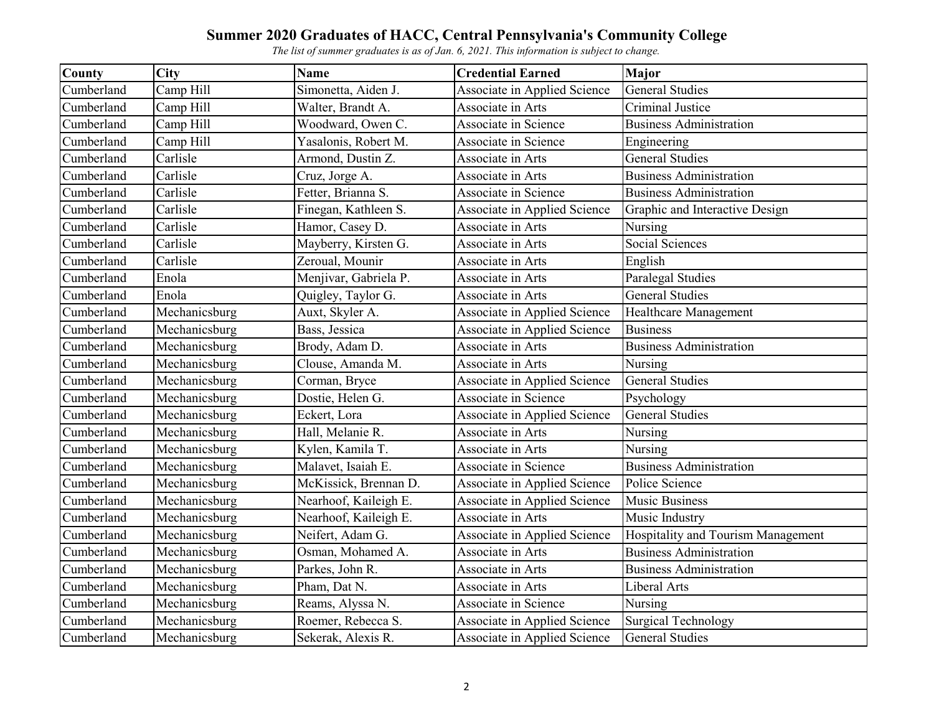| <b>County</b> | City          | <b>Name</b>           | <b>Credential Earned</b>     | Major                              |
|---------------|---------------|-----------------------|------------------------------|------------------------------------|
| Cumberland    | Camp Hill     | Simonetta, Aiden J.   | Associate in Applied Science | <b>General Studies</b>             |
| Cumberland    | Camp Hill     | Walter, Brandt A.     | Associate in Arts            | Criminal Justice                   |
| Cumberland    | Camp Hill     | Woodward, Owen C.     | Associate in Science         | <b>Business Administration</b>     |
| Cumberland    | Camp Hill     | Yasalonis, Robert M.  | <b>Associate in Science</b>  | Engineering                        |
| Cumberland    | Carlisle      | Armond, Dustin Z.     | Associate in Arts            | <b>General Studies</b>             |
| Cumberland    | Carlisle      | Cruz, Jorge A.        | Associate in Arts            | <b>Business Administration</b>     |
| Cumberland    | Carlisle      | Fetter, Brianna S.    | Associate in Science         | <b>Business Administration</b>     |
| Cumberland    | Carlisle      | Finegan, Kathleen S.  | Associate in Applied Science | Graphic and Interactive Design     |
| Cumberland    | Carlisle      | Hamor, Casey D.       | Associate in Arts            | Nursing                            |
| Cumberland    | Carlisle      | Mayberry, Kirsten G.  | Associate in Arts            | Social Sciences                    |
| Cumberland    | Carlisle      | Zeroual, Mounir       | Associate in Arts            | English                            |
| Cumberland    | Enola         | Menjivar, Gabriela P. | Associate in Arts            | Paralegal Studies                  |
| Cumberland    | Enola         | Quigley, Taylor G.    | Associate in Arts            | <b>General Studies</b>             |
| Cumberland    | Mechanicsburg | Auxt, Skyler A.       | Associate in Applied Science | Healthcare Management              |
| Cumberland    | Mechanicsburg | Bass, Jessica         | Associate in Applied Science | <b>Business</b>                    |
| Cumberland    | Mechanicsburg | Brody, Adam D.        | Associate in Arts            | <b>Business Administration</b>     |
| Cumberland    | Mechanicsburg | Clouse, Amanda M.     | Associate in Arts            | Nursing                            |
| Cumberland    | Mechanicsburg | Corman, Bryce         | Associate in Applied Science | <b>General Studies</b>             |
| Cumberland    | Mechanicsburg | Dostie, Helen G.      | Associate in Science         | Psychology                         |
| Cumberland    | Mechanicsburg | Eckert, Lora          | Associate in Applied Science | <b>General Studies</b>             |
| Cumberland    | Mechanicsburg | Hall, Melanie R.      | Associate in Arts            | Nursing                            |
| Cumberland    | Mechanicsburg | Kylen, Kamila T.      | Associate in Arts            | Nursing                            |
| Cumberland    | Mechanicsburg | Malavet, Isaiah E.    | Associate in Science         | <b>Business Administration</b>     |
| Cumberland    | Mechanicsburg | McKissick, Brennan D. | Associate in Applied Science | Police Science                     |
| Cumberland    | Mechanicsburg | Nearhoof, Kaileigh E. | Associate in Applied Science | <b>Music Business</b>              |
| Cumberland    | Mechanicsburg | Nearhoof, Kaileigh E. | Associate in Arts            | Music Industry                     |
| Cumberland    | Mechanicsburg | Neifert, Adam G.      | Associate in Applied Science | Hospitality and Tourism Management |
| Cumberland    | Mechanicsburg | Osman, Mohamed A.     | Associate in Arts            | <b>Business Administration</b>     |
| Cumberland    | Mechanicsburg | Parkes, John R.       | Associate in Arts            | <b>Business Administration</b>     |
| Cumberland    | Mechanicsburg | Pham, Dat N.          | Associate in Arts            | Liberal Arts                       |
| Cumberland    | Mechanicsburg | Reams, Alyssa N.      | Associate in Science         | Nursing                            |
| Cumberland    | Mechanicsburg | Roemer, Rebecca S.    | Associate in Applied Science | <b>Surgical Technology</b>         |
| Cumberland    | Mechanicsburg | Sekerak, Alexis R.    | Associate in Applied Science | <b>General Studies</b>             |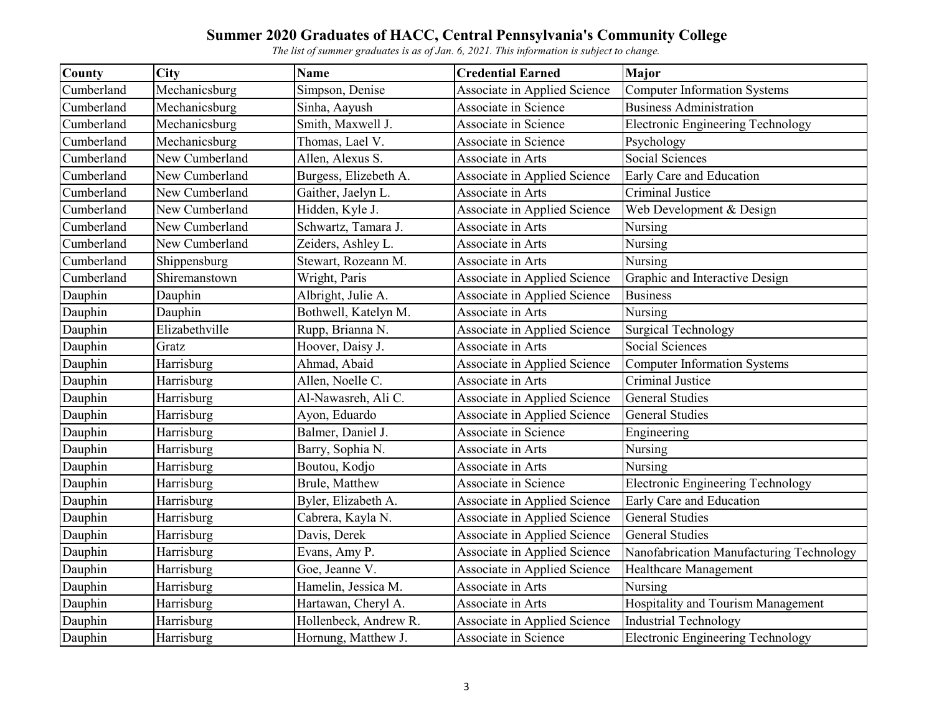| <b>County</b> | City           | <b>Name</b>           | <b>Credential Earned</b>     | <b>Major</b>                             |
|---------------|----------------|-----------------------|------------------------------|------------------------------------------|
| Cumberland    | Mechanicsburg  | Simpson, Denise       | Associate in Applied Science | <b>Computer Information Systems</b>      |
| Cumberland    | Mechanicsburg  | Sinha, Aayush         | Associate in Science         | <b>Business Administration</b>           |
| Cumberland    | Mechanicsburg  | Smith, Maxwell J.     | Associate in Science         | <b>Electronic Engineering Technology</b> |
| Cumberland    | Mechanicsburg  | Thomas, Lael V.       | <b>Associate in Science</b>  | Psychology                               |
| Cumberland    | New Cumberland | Allen, Alexus S.      | Associate in Arts            | Social Sciences                          |
| Cumberland    | New Cumberland | Burgess, Elizebeth A. | Associate in Applied Science | Early Care and Education                 |
| Cumberland    | New Cumberland | Gaither, Jaelyn L.    | Associate in Arts            | Criminal Justice                         |
| Cumberland    | New Cumberland | Hidden, Kyle J.       | Associate in Applied Science | Web Development & Design                 |
| Cumberland    | New Cumberland | Schwartz, Tamara J.   | Associate in Arts            | Nursing                                  |
| Cumberland    | New Cumberland | Zeiders, Ashley L.    | Associate in Arts            | Nursing                                  |
| Cumberland    | Shippensburg   | Stewart, Rozeann M.   | Associate in Arts            | Nursing                                  |
| Cumberland    | Shiremanstown  | Wright, Paris         | Associate in Applied Science | Graphic and Interactive Design           |
| Dauphin       | Dauphin        | Albright, Julie A.    | Associate in Applied Science | <b>Business</b>                          |
| Dauphin       | Dauphin        | Bothwell, Katelyn M.  | Associate in Arts            | Nursing                                  |
| Dauphin       | Elizabethville | Rupp, Brianna N.      | Associate in Applied Science | <b>Surgical Technology</b>               |
| Dauphin       | Gratz          | Hoover, Daisy J.      | Associate in Arts            | Social Sciences                          |
| Dauphin       | Harrisburg     | Ahmad, Abaid          | Associate in Applied Science | <b>Computer Information Systems</b>      |
| Dauphin       | Harrisburg     | Allen, Noelle C.      | Associate in Arts            | Criminal Justice                         |
| Dauphin       | Harrisburg     | Al-Nawasreh, Ali C.   | Associate in Applied Science | <b>General Studies</b>                   |
| Dauphin       | Harrisburg     | Ayon, Eduardo         | Associate in Applied Science | <b>General Studies</b>                   |
| Dauphin       | Harrisburg     | Balmer, Daniel J.     | Associate in Science         | Engineering                              |
| Dauphin       | Harrisburg     | Barry, Sophia N.      | Associate in Arts            | Nursing                                  |
| Dauphin       | Harrisburg     | Boutou, Kodjo         | Associate in Arts            | Nursing                                  |
| Dauphin       | Harrisburg     | Brule, Matthew        | Associate in Science         | <b>Electronic Engineering Technology</b> |
| Dauphin       | Harrisburg     | Byler, Elizabeth A.   | Associate in Applied Science | Early Care and Education                 |
| Dauphin       | Harrisburg     | Cabrera, Kayla N.     | Associate in Applied Science | <b>General Studies</b>                   |
| Dauphin       | Harrisburg     | Davis, Derek          | Associate in Applied Science | <b>General Studies</b>                   |
| Dauphin       | Harrisburg     | Evans, Amy P.         | Associate in Applied Science | Nanofabrication Manufacturing Technology |
| Dauphin       | Harrisburg     | Goe, Jeanne V.        | Associate in Applied Science | Healthcare Management                    |
| Dauphin       | Harrisburg     | Hamelin, Jessica M.   | Associate in Arts            | Nursing                                  |
| Dauphin       | Harrisburg     | Hartawan, Cheryl A.   | Associate in Arts            | Hospitality and Tourism Management       |
| Dauphin       | Harrisburg     | Hollenbeck, Andrew R. | Associate in Applied Science | <b>Industrial Technology</b>             |
| Dauphin       | Harrisburg     | Hornung, Matthew J.   | Associate in Science         | <b>Electronic Engineering Technology</b> |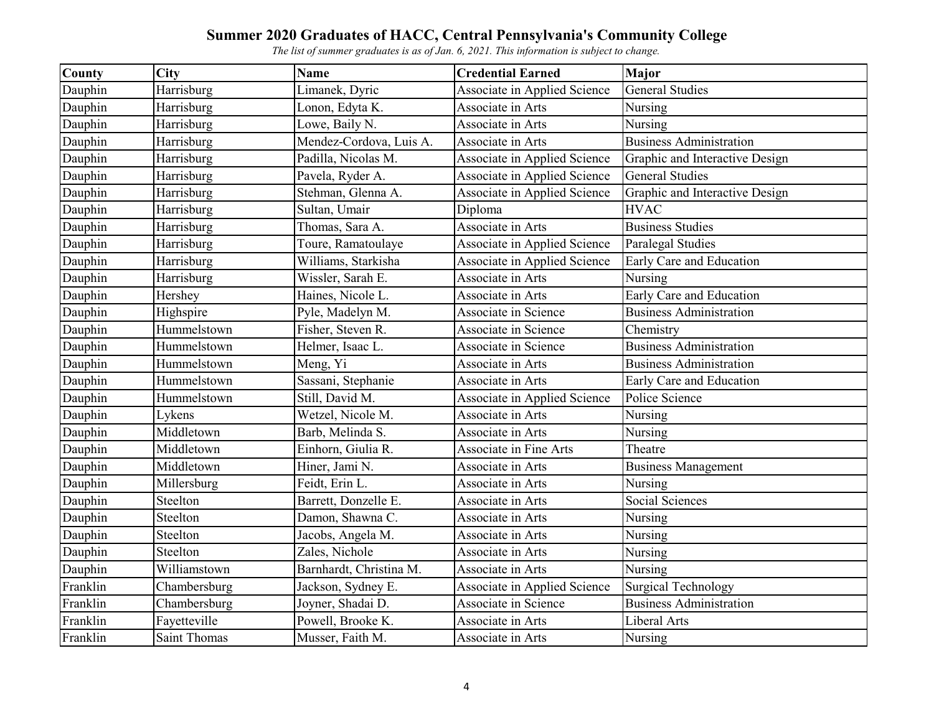| County   | City         | <b>Name</b>             | <b>Credential Earned</b>            | <b>Major</b>                   |
|----------|--------------|-------------------------|-------------------------------------|--------------------------------|
| Dauphin  | Harrisburg   | Limanek, Dyric          | Associate in Applied Science        | <b>General Studies</b>         |
| Dauphin  | Harrisburg   | Lonon, Edyta K.         | Associate in Arts                   | Nursing                        |
| Dauphin  | Harrisburg   | Lowe, Baily N.          | Associate in Arts                   | Nursing                        |
| Dauphin  | Harrisburg   | Mendez-Cordova, Luis A. | Associate in Arts                   | <b>Business Administration</b> |
| Dauphin  | Harrisburg   | Padilla, Nicolas M.     | Associate in Applied Science        | Graphic and Interactive Design |
| Dauphin  | Harrisburg   | Pavela, Ryder A.        | Associate in Applied Science        | <b>General Studies</b>         |
| Dauphin  | Harrisburg   | Stehman, Glenna A.      | Associate in Applied Science        | Graphic and Interactive Design |
| Dauphin  | Harrisburg   | Sultan, Umair           | Diploma                             | <b>HVAC</b>                    |
| Dauphin  | Harrisburg   | Thomas, Sara A.         | Associate in Arts                   | <b>Business Studies</b>        |
| Dauphin  | Harrisburg   | Toure, Ramatoulaye      | <b>Associate in Applied Science</b> | Paralegal Studies              |
| Dauphin  | Harrisburg   | Williams, Starkisha     | Associate in Applied Science        | Early Care and Education       |
| Dauphin  | Harrisburg   | Wissler, Sarah E.       | Associate in Arts                   | Nursing                        |
| Dauphin  | Hershey      | Haines, Nicole L.       | Associate in Arts                   | Early Care and Education       |
| Dauphin  | Highspire    | Pyle, Madelyn M.        | Associate in Science                | <b>Business Administration</b> |
| Dauphin  | Hummelstown  | Fisher, Steven R.       | Associate in Science                | Chemistry                      |
| Dauphin  | Hummelstown  | Helmer, Isaac L.        | Associate in Science                | <b>Business Administration</b> |
| Dauphin  | Hummelstown  | Meng, Yi                | Associate in Arts                   | <b>Business Administration</b> |
| Dauphin  | Hummelstown  | Sassani, Stephanie      | Associate in Arts                   | Early Care and Education       |
| Dauphin  | Hummelstown  | Still, David M.         | Associate in Applied Science        | Police Science                 |
| Dauphin  | Lykens       | Wetzel, Nicole M.       | Associate in Arts                   | Nursing                        |
| Dauphin  | Middletown   | Barb, Melinda S.        | Associate in Arts                   | Nursing                        |
| Dauphin  | Middletown   | Einhorn, Giulia R.      | <b>Associate in Fine Arts</b>       | Theatre                        |
| Dauphin  | Middletown   | Hiner, Jami N.          | Associate in Arts                   | <b>Business Management</b>     |
| Dauphin  | Millersburg  | Feidt, Erin L.          | Associate in Arts                   | Nursing                        |
| Dauphin  | Steelton     | Barrett, Donzelle E.    | Associate in Arts                   | Social Sciences                |
| Dauphin  | Steelton     | Damon, Shawna C.        | Associate in Arts                   | Nursing                        |
| Dauphin  | Steelton     | Jacobs, Angela M.       | Associate in Arts                   | Nursing                        |
| Dauphin  | Steelton     | Zales, Nichole          | Associate in Arts                   | Nursing                        |
| Dauphin  | Williamstown | Barnhardt, Christina M. | Associate in Arts                   | Nursing                        |
| Franklin | Chambersburg | Jackson, Sydney E.      | Associate in Applied Science        | <b>Surgical Technology</b>     |
| Franklin | Chambersburg | Joyner, Shadai D.       | Associate in Science                | <b>Business Administration</b> |
| Franklin | Fayetteville | Powell, Brooke K.       | Associate in Arts                   | Liberal Arts                   |
| Franklin | Saint Thomas | Musser, Faith M.        | Associate in Arts                   | Nursing                        |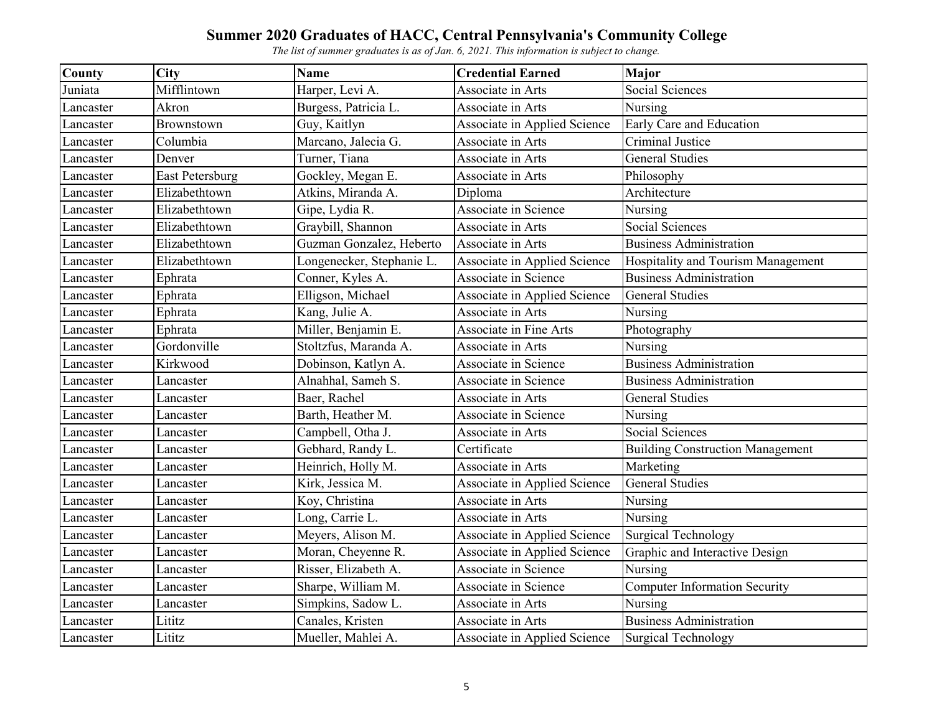| County    | City                   | <b>Name</b>               | <b>Credential Earned</b>      | Major                                   |
|-----------|------------------------|---------------------------|-------------------------------|-----------------------------------------|
| Juniata   | Mifflintown            | Harper, Levi A.           | Associate in Arts             | Social Sciences                         |
| Lancaster | Akron                  | Burgess, Patricia L.      | Associate in Arts             | Nursing                                 |
| Lancaster | Brownstown             | Guy, Kaitlyn              | Associate in Applied Science  | Early Care and Education                |
| Lancaster | Columbia               | Marcano, Jalecia G.       | Associate in Arts             | Criminal Justice                        |
| Lancaster | Denver                 | Turner, Tiana             | Associate in Arts             | <b>General Studies</b>                  |
| Lancaster | <b>East Petersburg</b> | Gockley, Megan E.         | Associate in Arts             | Philosophy                              |
| Lancaster | Elizabethtown          | Atkins, Miranda A.        | Diploma                       | Architecture                            |
| Lancaster | Elizabethtown          | Gipe, Lydia R.            | Associate in Science          | Nursing                                 |
| Lancaster | Elizabethtown          | Graybill, Shannon         | Associate in Arts             | Social Sciences                         |
| Lancaster | Elizabethtown          | Guzman Gonzalez, Heberto  | Associate in Arts             | <b>Business Administration</b>          |
| Lancaster | Elizabethtown          | Longenecker, Stephanie L. | Associate in Applied Science  | Hospitality and Tourism Management      |
| Lancaster | Ephrata                | Conner, Kyles A.          | Associate in Science          | <b>Business Administration</b>          |
| Lancaster | Ephrata                | Elligson, Michael         | Associate in Applied Science  | <b>General Studies</b>                  |
| Lancaster | Ephrata                | Kang, Julie A.            | Associate in Arts             | Nursing                                 |
| Lancaster | Ephrata                | Miller, Benjamin E.       | <b>Associate in Fine Arts</b> | Photography                             |
| Lancaster | Gordonville            | Stoltzfus, Maranda A.     | Associate in Arts             | Nursing                                 |
| Lancaster | Kirkwood               | Dobinson, Katlyn A.       | Associate in Science          | <b>Business Administration</b>          |
| Lancaster | Lancaster              | Alnahhal, Sameh S.        | Associate in Science          | <b>Business Administration</b>          |
| Lancaster | Lancaster              | Baer, Rachel              | Associate in Arts             | <b>General Studies</b>                  |
| Lancaster | Lancaster              | Barth, Heather M.         | Associate in Science          | Nursing                                 |
| Lancaster | Lancaster              | Campbell, Otha J.         | Associate in Arts             | Social Sciences                         |
| Lancaster | Lancaster              | Gebhard, Randy L.         | Certificate                   | <b>Building Construction Management</b> |
| Lancaster | Lancaster              | Heinrich, Holly M.        | Associate in Arts             | Marketing                               |
| Lancaster | Lancaster              | Kirk, Jessica M.          | Associate in Applied Science  | <b>General Studies</b>                  |
| Lancaster | Lancaster              | Koy, Christina            | Associate in Arts             | Nursing                                 |
| Lancaster | Lancaster              | Long, Carrie L.           | Associate in Arts             | Nursing                                 |
| Lancaster | Lancaster              | Meyers, Alison M.         | Associate in Applied Science  | <b>Surgical Technology</b>              |
| Lancaster | Lancaster              | Moran, Cheyenne R.        | Associate in Applied Science  | Graphic and Interactive Design          |
| Lancaster | Lancaster              | Risser, Elizabeth A.      | Associate in Science          | Nursing                                 |
| Lancaster | Lancaster              | Sharpe, William M.        | Associate in Science          | <b>Computer Information Security</b>    |
| Lancaster | Lancaster              | Simpkins, Sadow L.        | Associate in Arts             | Nursing                                 |
| Lancaster | Lititz                 | Canales, Kristen          | Associate in Arts             | <b>Business Administration</b>          |
| Lancaster | Lititz                 | Mueller, Mahlei A.        | Associate in Applied Science  | <b>Surgical Technology</b>              |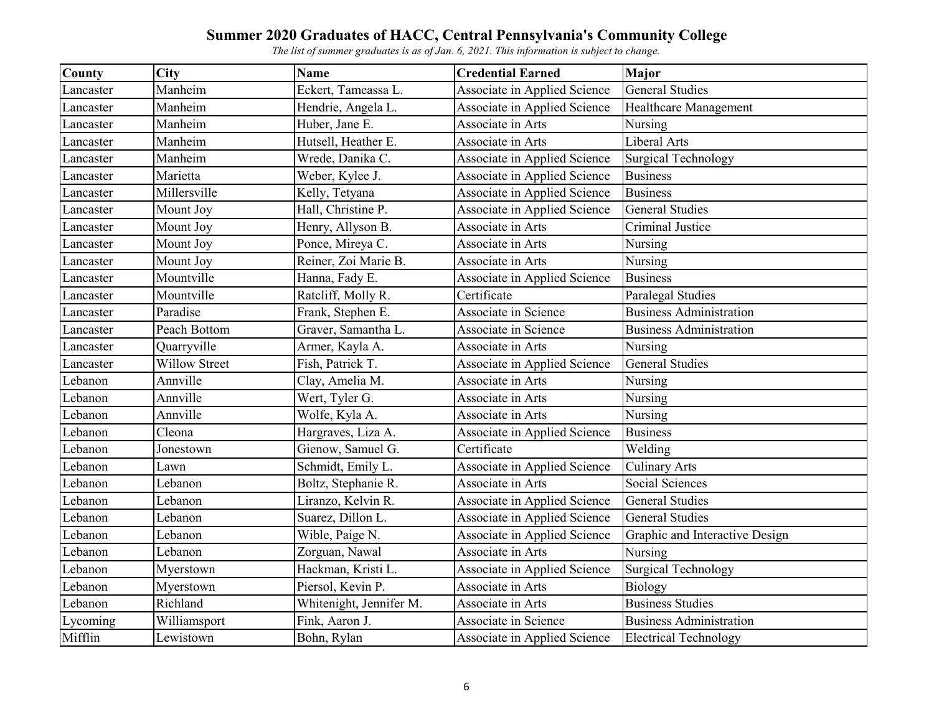| County    | <b>City</b>          | <b>Name</b>             | <b>Credential Earned</b>            | <b>Major</b>                   |
|-----------|----------------------|-------------------------|-------------------------------------|--------------------------------|
| Lancaster | Manheim              | Eckert, Tameassa L.     | Associate in Applied Science        | <b>General Studies</b>         |
| Lancaster | Manheim              | Hendrie, Angela L.      | Associate in Applied Science        | <b>Healthcare Management</b>   |
| Lancaster | Manheim              | Huber, Jane E.          | Associate in Arts                   | Nursing                        |
| Lancaster | Manheim              | Hutsell, Heather E.     | Associate in Arts                   | <b>Liberal Arts</b>            |
| Lancaster | Manheim              | Wrede, Danika C.        | Associate in Applied Science        | <b>Surgical Technology</b>     |
| Lancaster | Marietta             | Weber, Kylee J.         | Associate in Applied Science        | <b>Business</b>                |
| Lancaster | Millersville         | Kelly, Tetyana          | <b>Associate in Applied Science</b> | <b>Business</b>                |
| Lancaster | Mount Joy            | Hall, Christine P.      | Associate in Applied Science        | <b>General Studies</b>         |
| Lancaster | Mount Joy            | Henry, Allyson B.       | Associate in Arts                   | Criminal Justice               |
| Lancaster | Mount Joy            | Ponce, Mireya C.        | Associate in Arts                   | Nursing                        |
| Lancaster | Mount Joy            | Reiner, Zoi Marie B.    | Associate in Arts                   | Nursing                        |
| Lancaster | Mountville           | Hanna, Fady E.          | Associate in Applied Science        | <b>Business</b>                |
| Lancaster | Mountville           | Ratcliff, Molly R.      | Certificate                         | Paralegal Studies              |
| Lancaster | Paradise             | Frank, Stephen E.       | Associate in Science                | <b>Business Administration</b> |
| Lancaster | Peach Bottom         | Graver, Samantha L.     | Associate in Science                | <b>Business Administration</b> |
| Lancaster | Quarryville          | Armer, Kayla A.         | Associate in Arts                   | Nursing                        |
| Lancaster | <b>Willow Street</b> | Fish, Patrick T.        | Associate in Applied Science        | <b>General Studies</b>         |
| Lebanon   | Annville             | Clay, Amelia M.         | Associate in Arts                   | Nursing                        |
| Lebanon   | Annville             | Wert, Tyler G.          | Associate in Arts                   | Nursing                        |
| Lebanon   | Annville             | Wolfe, Kyla A.          | Associate in Arts                   | Nursing                        |
| Lebanon   | Cleona               | Hargraves, Liza A.      | Associate in Applied Science        | <b>Business</b>                |
| Lebanon   | Jonestown            | Gienow, Samuel G.       | Certificate                         | Welding                        |
| Lebanon   | Lawn                 | Schmidt, Emily L.       | Associate in Applied Science        | <b>Culinary Arts</b>           |
| Lebanon   | Lebanon              | Boltz, Stephanie R.     | Associate in Arts                   | Social Sciences                |
| Lebanon   | Lebanon              | Liranzo, Kelvin R.      | Associate in Applied Science        | <b>General Studies</b>         |
| Lebanon   | Lebanon              | Suarez, Dillon L.       | Associate in Applied Science        | <b>General Studies</b>         |
| Lebanon   | Lebanon              | Wible, Paige N.         | Associate in Applied Science        | Graphic and Interactive Design |
| Lebanon   | Lebanon              | Zorguan, Nawal          | Associate in Arts                   | Nursing                        |
| Lebanon   | Myerstown            | Hackman, Kristi L.      | Associate in Applied Science        | <b>Surgical Technology</b>     |
| Lebanon   | Myerstown            | Piersol, Kevin P.       | Associate in Arts                   | Biology                        |
| Lebanon   | Richland             | Whitenight, Jennifer M. | Associate in Arts                   | <b>Business Studies</b>        |
| Lycoming  | Williamsport         | Fink, Aaron J.          | Associate in Science                | <b>Business Administration</b> |
| Mifflin   | Lewistown            | Bohn, Rylan             | Associate in Applied Science        | <b>Electrical Technology</b>   |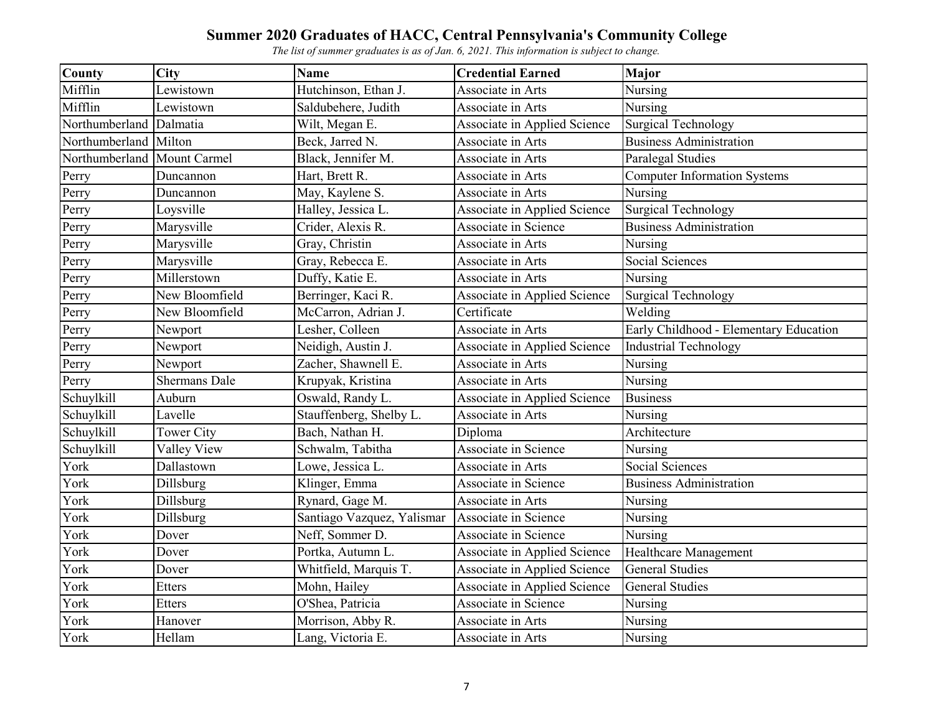| County         | City                 | <b>Name</b>                | <b>Credential Earned</b>            | Major                                  |
|----------------|----------------------|----------------------------|-------------------------------------|----------------------------------------|
| Mifflin        | Lewistown            | Hutchinson, Ethan J.       | Associate in Arts                   | Nursing                                |
| Mifflin        | Lewistown            | Saldubehere, Judith        | Associate in Arts                   | Nursing                                |
| Northumberland | Dalmatia             | Wilt, Megan E.             | Associate in Applied Science        | <b>Surgical Technology</b>             |
| Northumberland | Milton               | Beck, Jarred N.            | Associate in Arts                   | <b>Business Administration</b>         |
| Northumberland | <b>Mount Carmel</b>  | Black, Jennifer M.         | Associate in Arts                   | Paralegal Studies                      |
| Perry          | Duncannon            | Hart, Brett R.             | Associate in Arts                   | <b>Computer Information Systems</b>    |
| Perry          | Duncannon            | May, Kaylene S.            | Associate in Arts                   | Nursing                                |
| Perry          | Loysville            | Halley, Jessica L.         | Associate in Applied Science        | <b>Surgical Technology</b>             |
| Perry          | Marysville           | Crider, Alexis R.          | Associate in Science                | <b>Business Administration</b>         |
| Perry          | Marysville           | Gray, Christin             | Associate in Arts                   | Nursing                                |
| Perry          | Marysville           | Gray, Rebecca E.           | Associate in Arts                   | Social Sciences                        |
| Perry          | Millerstown          | Duffy, Katie E.            | Associate in Arts                   | Nursing                                |
| Perry          | New Bloomfield       | Berringer, Kaci R.         | Associate in Applied Science        | <b>Surgical Technology</b>             |
| Perry          | New Bloomfield       | McCarron, Adrian J.        | Certificate                         | Welding                                |
| Perry          | Newport              | Lesher, Colleen            | Associate in Arts                   | Early Childhood - Elementary Education |
| Perry          | Newport              | Neidigh, Austin J.         | Associate in Applied Science        | <b>Industrial Technology</b>           |
| Perry          | Newport              | Zacher, Shawnell E.        | Associate in Arts                   | Nursing                                |
| Perry          | <b>Shermans Dale</b> | Krupyak, Kristina          | Associate in Arts                   | Nursing                                |
| Schuylkill     | Auburn               | Oswald, Randy L.           | <b>Associate in Applied Science</b> | <b>Business</b>                        |
| Schuylkill     | Lavelle              | Stauffenberg, Shelby L.    | Associate in Arts                   | Nursing                                |
| Schuylkill     | <b>Tower City</b>    | Bach, Nathan H.            | Diploma                             | Architecture                           |
| Schuylkill     | Valley View          | Schwalm, Tabitha           | Associate in Science                | Nursing                                |
| York           | Dallastown           | Lowe, Jessica L.           | Associate in Arts                   | Social Sciences                        |
| York           | Dillsburg            | Klinger, Emma              | Associate in Science                | <b>Business Administration</b>         |
| York           | Dillsburg            | Rynard, Gage M.            | Associate in Arts                   | Nursing                                |
| York           | Dillsburg            | Santiago Vazquez, Yalismar | Associate in Science                | Nursing                                |
| York           | Dover                | Neff, Sommer D.            | Associate in Science                | Nursing                                |
| York           | Dover                | Portka, Autumn L.          | Associate in Applied Science        | Healthcare Management                  |
| York           | Dover                | Whitfield, Marquis T.      | Associate in Applied Science        | <b>General Studies</b>                 |
| York           | Etters               | Mohn, Hailey               | Associate in Applied Science        | <b>General Studies</b>                 |
| York           | <b>Etters</b>        | O'Shea, Patricia           | Associate in Science                | Nursing                                |
| York           | Hanover              | Morrison, Abby R.          | Associate in Arts                   | Nursing                                |
| York           | Hellam               | Lang, Victoria E.          | Associate in Arts                   | Nursing                                |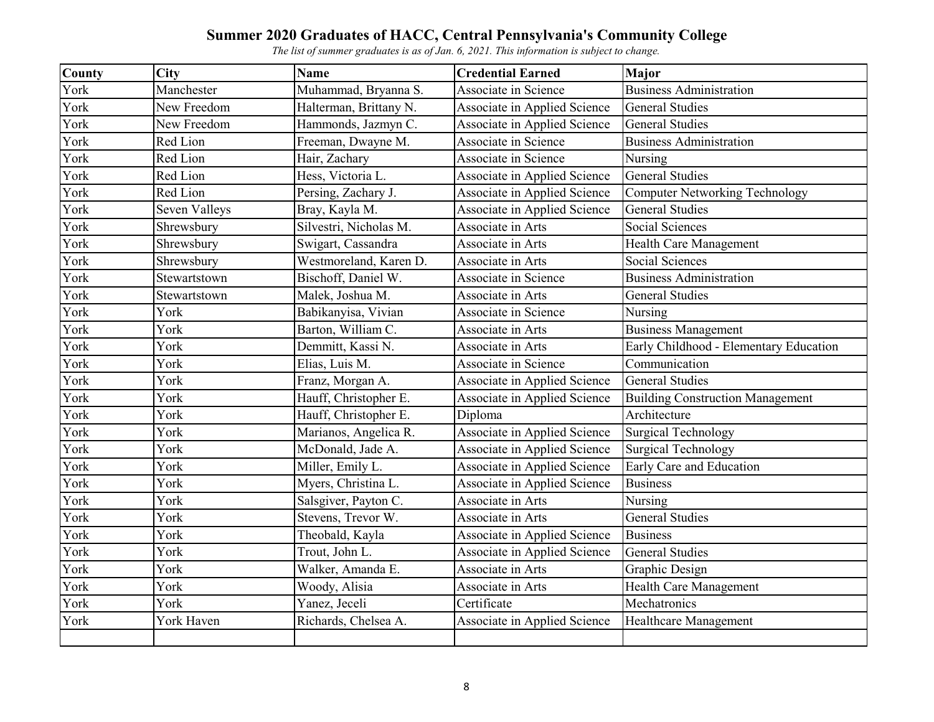| County | <b>City</b>   | <b>Name</b>            | <b>Credential Earned</b>            | Major                                   |
|--------|---------------|------------------------|-------------------------------------|-----------------------------------------|
| York   | Manchester    | Muhammad, Bryanna S.   | Associate in Science                | <b>Business Administration</b>          |
| York   | New Freedom   | Halterman, Brittany N. | Associate in Applied Science        | <b>General Studies</b>                  |
| York   | New Freedom   | Hammonds, Jazmyn C.    | Associate in Applied Science        | <b>General Studies</b>                  |
| York   | Red Lion      | Freeman, Dwayne M.     | Associate in Science                | <b>Business Administration</b>          |
| York   | Red Lion      | Hair, Zachary          | Associate in Science                | Nursing                                 |
| York   | Red Lion      | Hess, Victoria L.      | Associate in Applied Science        | <b>General Studies</b>                  |
| York   | Red Lion      | Persing, Zachary J.    | Associate in Applied Science        | <b>Computer Networking Technology</b>   |
| York   | Seven Valleys | Bray, Kayla M.         | <b>Associate in Applied Science</b> | <b>General Studies</b>                  |
| York   | Shrewsbury    | Silvestri, Nicholas M. | Associate in Arts                   | Social Sciences                         |
| York   | Shrewsbury    | Swigart, Cassandra     | Associate in Arts                   | Health Care Management                  |
| York   | Shrewsbury    | Westmoreland, Karen D. | Associate in Arts                   | <b>Social Sciences</b>                  |
| York   | Stewartstown  | Bischoff, Daniel W.    | Associate in Science                | <b>Business Administration</b>          |
| York   | Stewartstown  | Malek, Joshua M.       | Associate in Arts                   | <b>General Studies</b>                  |
| York   | York          | Babikanyisa, Vivian    | Associate in Science                | Nursing                                 |
| York   | York          | Barton, William C.     | Associate in Arts                   | <b>Business Management</b>              |
| York   | York          | Demmitt, Kassi N.      | Associate in Arts                   | Early Childhood - Elementary Education  |
| York   | York          | Elias, Luis M.         | Associate in Science                | Communication                           |
| York   | York          | Franz, Morgan A.       | Associate in Applied Science        | <b>General Studies</b>                  |
| York   | York          | Hauff, Christopher E.  | Associate in Applied Science        | <b>Building Construction Management</b> |
| York   | York          | Hauff, Christopher E.  | Diploma                             | Architecture                            |
| York   | York          | Marianos, Angelica R.  | Associate in Applied Science        | <b>Surgical Technology</b>              |
| York   | York          | McDonald, Jade A.      | Associate in Applied Science        | <b>Surgical Technology</b>              |
| York   | York          | Miller, Emily L.       | Associate in Applied Science        | Early Care and Education                |
| York   | York          | Myers, Christina L.    | Associate in Applied Science        | <b>Business</b>                         |
| York   | York          | Salsgiver, Payton C.   | Associate in Arts                   | Nursing                                 |
| York   | York          | Stevens, Trevor W.     | Associate in Arts                   | <b>General Studies</b>                  |
| York   | York          | Theobald, Kayla        | Associate in Applied Science        | <b>Business</b>                         |
| York   | York          | Trout, John L.         | <b>Associate in Applied Science</b> | <b>General Studies</b>                  |
| York   | York          | Walker, Amanda E.      | Associate in Arts                   | Graphic Design                          |
| York   | York          | Woody, Alisia          | Associate in Arts                   | Health Care Management                  |
| York   | York          | Yanez, Jeceli          | Certificate                         | Mechatronics                            |
| York   | York Haven    | Richards, Chelsea A.   | <b>Associate in Applied Science</b> | Healthcare Management                   |
|        |               |                        |                                     |                                         |